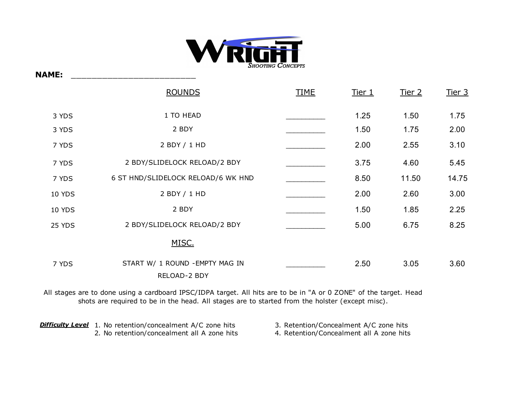

**NAME:** \_\_\_\_\_\_\_\_\_\_\_\_\_\_\_\_\_\_\_\_\_\_\_\_

|               | <b>ROUNDS</b>                                   | <b>TIME</b> | <u>Tier 1</u> | Tier 2 | Tier 3 |
|---------------|-------------------------------------------------|-------------|---------------|--------|--------|
| 3 YDS         | 1 TO HEAD                                       |             | 1.25          | 1.50   | 1.75   |
| 3 YDS         | 2 BDY                                           |             | 1.50          | 1.75   | 2.00   |
| 7 YDS         | 2 BDY / 1 HD                                    |             | 2.00          | 2.55   | 3.10   |
| 7 YDS         | 2 BDY/SLIDELOCK RELOAD/2 BDY                    |             | 3.75          | 4.60   | 5.45   |
| 7 YDS         | 6 ST HND/SLIDELOCK RELOAD/6 WK HND              |             | 8.50          | 11.50  | 14.75  |
| <b>10 YDS</b> | 2 BDY / 1 HD                                    |             | 2.00          | 2.60   | 3.00   |
| <b>10 YDS</b> | 2 BDY                                           |             | 1.50          | 1.85   | 2.25   |
| 25 YDS        | 2 BDY/SLIDELOCK RELOAD/2 BDY                    |             | 5.00          | 6.75   | 8.25   |
|               | MISC.                                           |             |               |        |        |
| 7 YDS         | START W/ 1 ROUND - EMPTY MAG IN<br>RELOAD-2 BDY |             | 2.50          | 3.05   | 3.60   |

All stages are to done using a cardboard IPSC/IDPA target. All hits are to be in "A or 0 ZONE" of the target. Head shots are required to be in the head. All stages are to started from the holster (except misc).

**Difficulty Level** 1. No retention/concealment A/C zone hits 2. No retention/concealment all A zone hits 4. Retention/Concealment all A zone hits 3. Retention/Concealment A/C zone hits